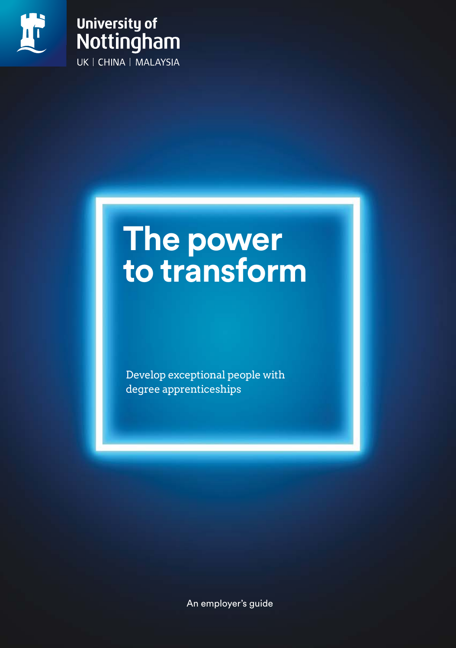

### **University of** Nottingham UK | CHINA | MALAYSIA

### **The power to transform**

Develop exceptional people with degree apprenticeships

An employer's guide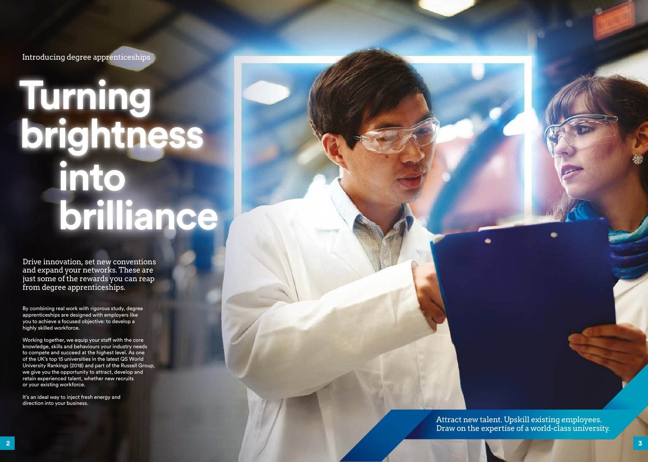Attract new talent. Upskill existing employees. Draw on the expertise of a world-class university.

Introducing degree apprenticeships

Drive innovation, set new conventions and expand your networks. These are just some of the rewards you can reap from degree apprenticeships.

By combining real work with rigorous study, degree apprenticeships are designed with employers like you to achieve a focused objective: to develop a highly skilled workforce.

It's an ideal way to inject fresh energy and direction into your business.

Working together, we equip your staff with the core knowledge, skills and behaviours your industry needs to compete and succeed at the highest level. As one of the UK's top 15 universities in the latest QS World University Rankings (2018) and part of the Russell Group, we give you the opportunity to attract, develop and retain experienced talent, whether new recruits or your existing workforce.

# **Turning brightness into brilliance**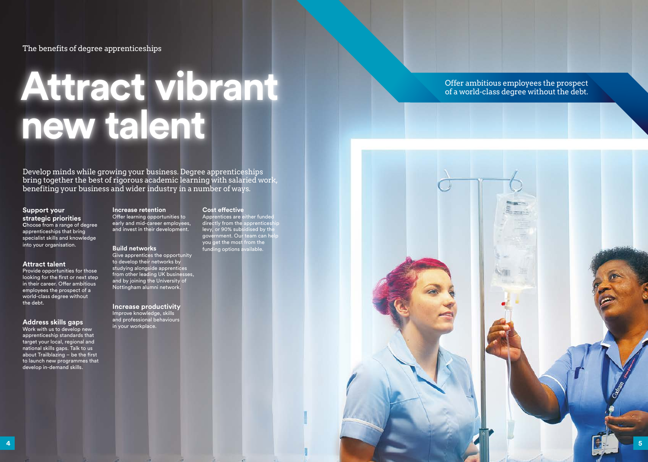The benefits of degree apprenticeships

### **Attract vibrant new talent**

#### Offer ambitious employees the prospect of a world-class degree without the debt.

Develop minds while growing your business. Degree apprenticeships bring together the best of rigorous academic learning with salaried work, benefiting your business and wider industry in a number of ways.

#### **Support your strategic priorities**

**C**hoose from a range of degree apprenticeships that bring specialist skills and knowledge into your organisation.

#### **Attract talent**

Provide opportunities for those looking for the first or next step in their career. Offer ambitious employees the prospect of a world-class degree without the debt.

#### **Address skills gaps**

Apprentices are either funded directly from the apprenticeship levy, or 90% subsidised by the government. Our team can help you get the most from the funding options available.



Work with us to develop new apprenticeship standards that target your local, regional and national skills gaps. Talk to us about Trailblazing – be the first to launch new programmes that develop in-demand skills.

#### **Increase retention**

Offer learning opportunities to early and mid-career employees, and invest in their development.

#### **Build networks**

Give apprentices the opportunity to develop their networks by studying alongside apprentices from other leading UK businesses, and by joining the University of Nottingham alumni network.

**Increase productivity** Improve knowledge, skills and professional behaviours in your workplace.

#### **Cost effective**

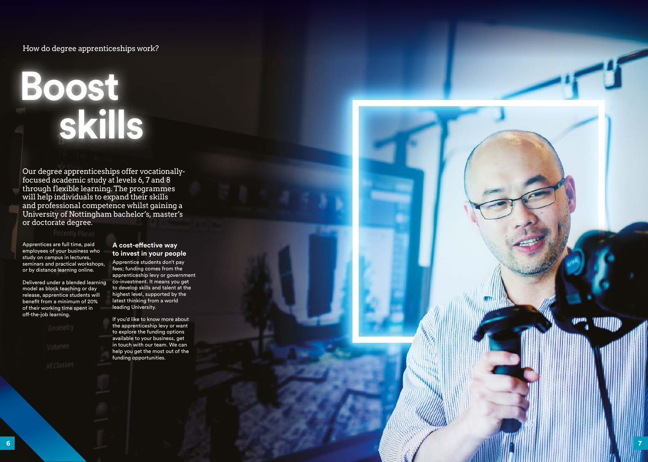Apprentices are full time, paid employees of your business who study on campus in lectures, seminars and practical workshops, or by distance learning online.

Delivered under a blended learning model as block teaching or day release, apprentice students will benefit from a minimum of 20% of their working time spent in off-the-job learning.

#### **A cost-effective way to invest in your people**

Apprentice students don't pay fees; funding comes from the apprenticeship levy or government co-investment. It means you get to develop skills and talent at the highest level, supported by the latest thinking from a world leading University.

If you'd like to know more about the apprenticeship levy or want to explore the funding options available to your business, get in touch with our team. We can help you get the most out of the funding opportunities.

#### How do degree apprenticeships work?

## **Boost skills**

Our degree apprenticeships offer vocationallyfocused academic study at levels 6, 7 and 8 through flexible learning. The programmes will help individuals to expand their skills and professional competence whilst gaining a University of Nottingham bachelor's, master's or doctorate degree.

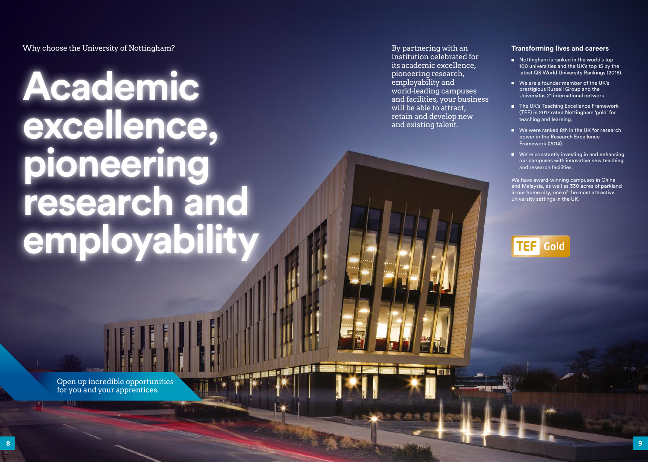Why choose the University of Nottingham?

# **Academic excellence, pioneering research and employability**

Open up incredible opportunities for you and your apprentices.

ans i li

#### **Transforming lives and careers**

- Nottingham is ranked in the world's top 100 universities and the UK's top 15 by the latest QS World University Rankings (2018).
- We are a founder member of the UK's prestigious Russell Group and the Universitas 21 international network.
- The UK's Teaching Excellence Framework (TEF) in 2017 rated Nottingham 'gold' for teaching and learning.
- We were ranked 8th in the UK for research power in the Research Excellence Framework (2014).
- We're constantly investing in and enhancing our campuses with innovative new teaching and research facilities.

We have award-winning campuses in China and Malaysia, as well as 330 acres of parkland in our home city, one of the most attractive university settings in the UK.

### **TEF** Gold

By partnering with an institution celebrated for its academic excellence, pioneering research, employability and world-leading campuses and facilities, your business will be able to attract, retain and develop new and existing talent.

**I an** B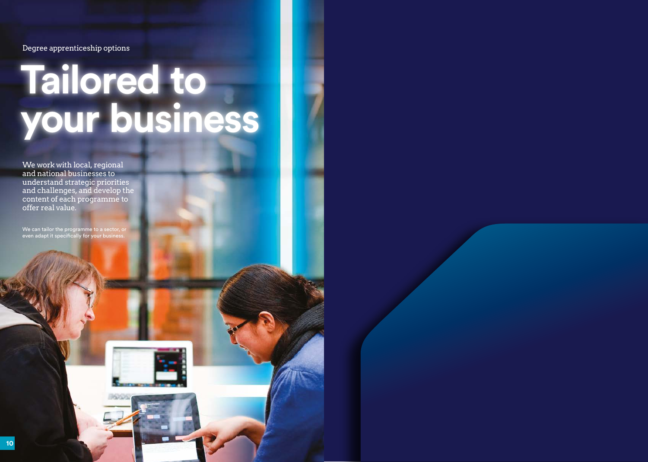Degree apprenticeship options

We work with local, regional and national businesses to understand strategic priorities and challenges, and develop the content of each programme to offer real value.

We can tailor the programme to a sector, or even adapt it specifically for your business.



# **Tailored to your business**

**10**